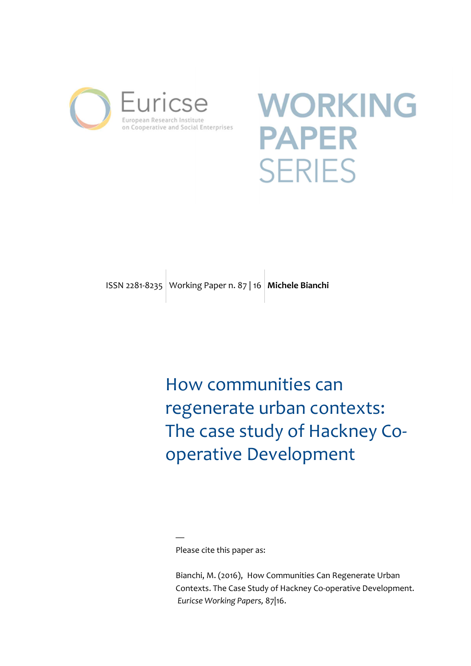

# **WORKING PAPER SERIES**

# ISSN 2281-8235 Working Paper n. 87 | 16 **Michele Bianchi**

How communities can regenerate urban contexts: The case study of Hackney Cooperative Development

Please cite this paper as:

—

Bianchi, M. (2016), How Communities Can Regenerate Urban Contexts. The Case Study of Hackney Co-operative Development. *Euricse Working Papers,* 87|16.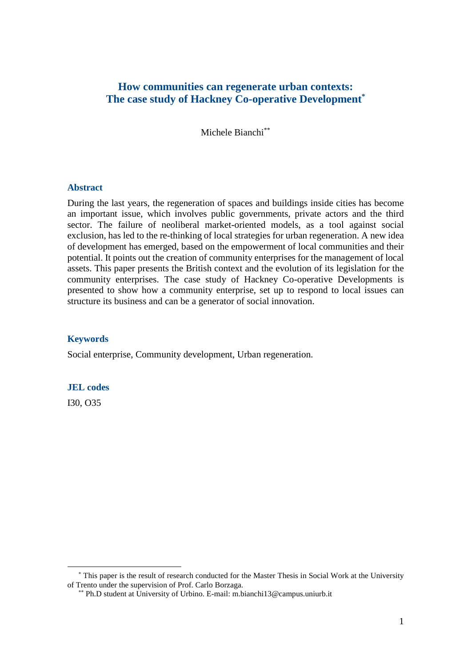# **How communities can regenerate urban contexts: The case study of Hackney Co-operative Development\***

Michele Bianchi\*\*

#### **Abstract**

During the last years, the regeneration of spaces and buildings inside cities has become an important issue, which involves public governments, private actors and the third sector. The failure of neoliberal market-oriented models, as a tool against social exclusion, has led to the re-thinking of local strategies for urban regeneration. A new idea of development has emerged, based on the empowerment of local communities and their potential. It points out the creation of community enterprises for the management of local assets. This paper presents the British context and the evolution of its legislation for the community enterprises. The case study of Hackney Co-operative Developments is presented to show how a community enterprise, set up to respond to local issues can structure its business and can be a generator of social innovation.

#### **Keywords**

Social enterprise, Community development, Urban regeneration.

#### **JEL codes**

I30, O35

 $\overline{a}$ 

<sup>\*</sup> This paper is the result of research conducted for the Master Thesis in Social Work at the University of Trento under the supervision of Prof. Carlo Borzaga.

<sup>\*\*</sup> Ph.D student at University of Urbino. E-mail: m.bianchi13@campus.uniurb.it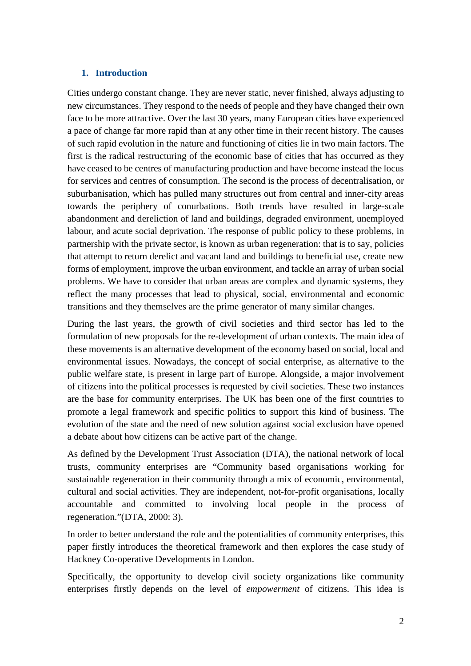# **1. Introduction**

Cities undergo constant change. They are never static, never finished, always adjusting to new circumstances. They respond to the needs of people and they have changed their own face to be more attractive. Over the last 30 years, many European cities have experienced a pace of change far more rapid than at any other time in their recent history. The causes of such rapid evolution in the nature and functioning of cities lie in two main factors. The first is the radical restructuring of the economic base of cities that has occurred as they have ceased to be centres of manufacturing production and have become instead the locus for services and centres of consumption. The second is the process of decentralisation, or suburbanisation, which has pulled many structures out from central and inner-city areas towards the periphery of conurbations. Both trends have resulted in large-scale abandonment and dereliction of land and buildings, degraded environment, unemployed labour, and acute social deprivation. The response of public policy to these problems, in partnership with the private sector, is known as urban regeneration: that is to say, policies that attempt to return derelict and vacant land and buildings to beneficial use, create new forms of employment, improve the urban environment, and tackle an array of urban social problems. We have to consider that urban areas are complex and dynamic systems, they reflect the many processes that lead to physical, social, environmental and economic transitions and they themselves are the prime generator of many similar changes.

During the last years, the growth of civil societies and third sector has led to the formulation of new proposals for the re-development of urban contexts. The main idea of these movements is an alternative development of the economy based on social, local and environmental issues. Nowadays, the concept of social enterprise, as alternative to the public welfare state, is present in large part of Europe. Alongside, a major involvement of citizens into the political processes is requested by civil societies. These two instances are the base for community enterprises. The UK has been one of the first countries to promote a legal framework and specific politics to support this kind of business. The evolution of the state and the need of new solution against social exclusion have opened a debate about how citizens can be active part of the change.

As defined by the Development Trust Association (DTA), the national network of local trusts, community enterprises are "Community based organisations working for sustainable regeneration in their community through a mix of economic, environmental, cultural and social activities. They are independent, not-for-profit organisations, locally accountable and committed to involving local people in the process of regeneration."(DTA, 2000: 3).

In order to better understand the role and the potentialities of community enterprises, this paper firstly introduces the theoretical framework and then explores the case study of Hackney Co-operative Developments in London.

Specifically, the opportunity to develop civil society organizations like community enterprises firstly depends on the level of *empowerment* of citizens. This idea is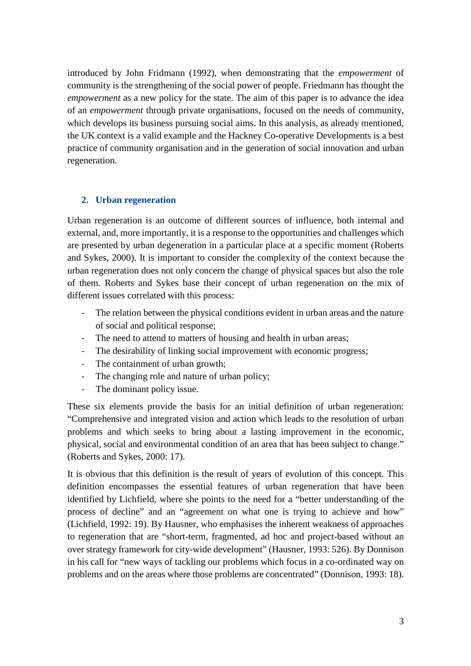introduced by John Fridmann (1992), when demonstrating that the *empowerment* of community is the strengthening of the social power of people. Friedmann has thought the *empowerment* as a new policy for the state. The aim of this paper is to advance the idea of an *empowerment* through private organisations, focused on the needs of community, which develops its business pursuing social aims. In this analysis, as already mentioned, the UK context is a valid example and the Hackney Co-operative Developments is a best practice of community organisation and in the generation of social innovation and urban regeneration.

# **2. Urban regeneration**

Urban regeneration is an outcome of different sources of influence, both internal and external, and, more importantly, it is a response to the opportunities and challenges which are presented by urban degeneration in a particular place at a specific moment (Roberts and Sykes, 2000). It is important to consider the complexity of the context because the urban regeneration does not only concern the change of physical spaces but also the role of them. Roberts and Sykes base their concept of urban regeneration on the mix of different issues correlated with this process:

- The relation between the physical conditions evident in urban areas and the nature of social and political response;
- The need to attend to matters of housing and health in urban areas;
- The desirability of linking social improvement with economic progress;
- The containment of urban growth;
- The changing role and nature of urban policy;
- The dominant policy issue.

These six elements provide the basis for an initial definition of urban regeneration: "Comprehensive and integrated vision and action which leads to the resolution of urban problems and which seeks to bring about a lasting improvement in the economic, physical, social and environmental condition of an area that has been subject to change." (Roberts and Sykes, 2000: 17).

It is obvious that this definition is the result of years of evolution of this concept. This definition encompasses the essential features of urban regeneration that have been identified by Lichfield, where she points to the need for a "better understanding of the process of decline" and an "agreement on what one is trying to achieve and how" (Lichfield, 1992: 19). By Hausner, who emphasises the inherent weakness of approaches to regeneration that are "short-term, fragmented, ad hoc and project-based without an over strategy framework for city-wide development" (Hausner, 1993: 526). By Donnison in his call for "new ways of tackling our problems which focus in a co-ordinated way on problems and on the areas where those problems are concentrated" (Donnison, 1993: 18).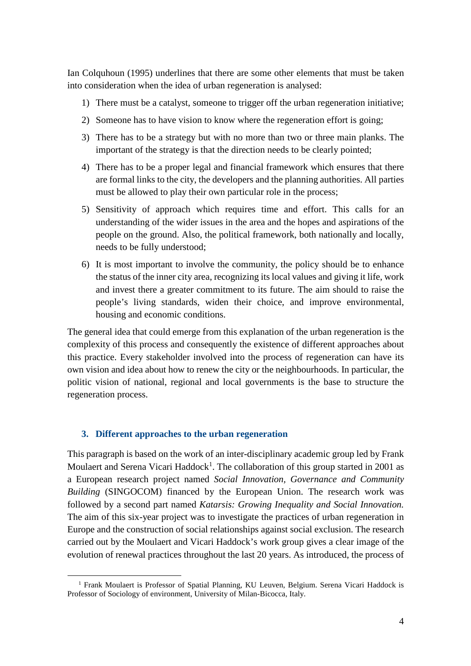Ian Colquhoun (1995) underlines that there are some other elements that must be taken into consideration when the idea of urban regeneration is analysed:

- 1) There must be a catalyst, someone to trigger off the urban regeneration initiative;
- 2) Someone has to have vision to know where the regeneration effort is going;
- 3) There has to be a strategy but with no more than two or three main planks. The important of the strategy is that the direction needs to be clearly pointed;
- 4) There has to be a proper legal and financial framework which ensures that there are formal links to the city, the developers and the planning authorities. All parties must be allowed to play their own particular role in the process;
- 5) Sensitivity of approach which requires time and effort. This calls for an understanding of the wider issues in the area and the hopes and aspirations of the people on the ground. Also, the political framework, both nationally and locally, needs to be fully understood;
- 6) It is most important to involve the community, the policy should be to enhance the status of the inner city area, recognizing its local values and giving it life, work and invest there a greater commitment to its future. The aim should to raise the people's living standards, widen their choice, and improve environmental, housing and economic conditions.

The general idea that could emerge from this explanation of the urban regeneration is the complexity of this process and consequently the existence of different approaches about this practice. Every stakeholder involved into the process of regeneration can have its own vision and idea about how to renew the city or the neighbourhoods. In particular, the politic vision of national, regional and local governments is the base to structure the regeneration process.

# **3. Different approaches to the urban regeneration**

 $\overline{a}$ 

This paragraph is based on the work of an inter-disciplinary academic group led by Frank Moulaert and Serena Vicari Haddock<sup>1</sup>. The collaboration of this group started in 2001 as a European research project named *Social Innovation, Governance and Community Building* (SINGOCOM) financed by the European Union. The research work was followed by a second part named *Katarsis: Growing Inequality and Social Innovation.* The aim of this six-year project was to investigate the practices of urban regeneration in Europe and the construction of social relationships against social exclusion. The research carried out by the Moulaert and Vicari Haddock's work group gives a clear image of the evolution of renewal practices throughout the last 20 years. As introduced, the process of

<sup>&</sup>lt;sup>1</sup> Frank Moulaert is Professor of Spatial Planning, KU Leuven, Belgium. Serena Vicari Haddock is Professor of Sociology of environment, University of Milan-Bicocca, Italy.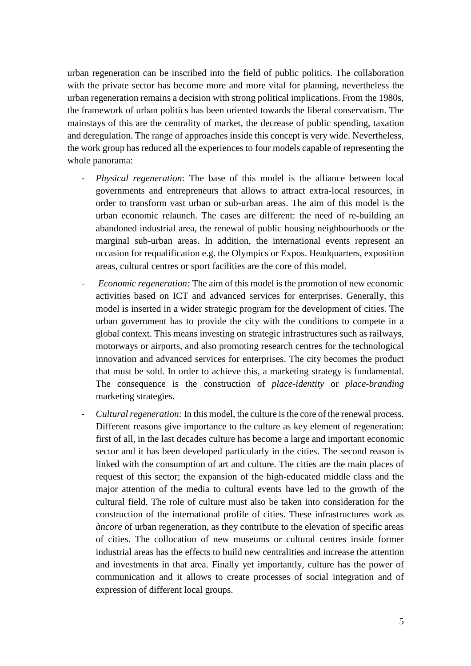urban regeneration can be inscribed into the field of public politics. The collaboration with the private sector has become more and more vital for planning, nevertheless the urban regeneration remains a decision with strong political implications. From the 1980s, the framework of urban politics has been oriented towards the liberal conservatism. The mainstays of this are the centrality of market, the decrease of public spending, taxation and deregulation. The range of approaches inside this concept is very wide. Nevertheless, the work group has reduced all the experiences to four models capable of representing the whole panorama:

- *Physical regeneration*: The base of this model is the alliance between local governments and entrepreneurs that allows to attract extra-local resources, in order to transform vast urban or sub-urban areas. The aim of this model is the urban economic relaunch. The cases are different: the need of re-building an abandoned industrial area, the renewal of public housing neighbourhoods or the marginal sub-urban areas. In addition, the international events represent an occasion for requalification e.g. the Olympics or Expos. Headquarters, exposition areas, cultural centres or sport facilities are the core of this model.
- *Economic regeneration:* The aim of this model is the promotion of new economic activities based on ICT and advanced services for enterprises. Generally, this model is inserted in a wider strategic program for the development of cities. The urban government has to provide the city with the conditions to compete in a global context. This means investing on strategic infrastructures such as railways, motorways or airports, and also promoting research centres for the technological innovation and advanced services for enterprises. The city becomes the product that must be sold. In order to achieve this, a marketing strategy is fundamental. The consequence is the construction of *place-identity* or *place-branding* marketing strategies.
- *Cultural regeneration:* In this model, the culture is the core of the renewal process. Different reasons give importance to the culture as key element of regeneration: first of all, in the last decades culture has become a large and important economic sector and it has been developed particularly in the cities. The second reason is linked with the consumption of art and culture. The cities are the main places of request of this sector; the expansion of the high-educated middle class and the major attention of the media to cultural events have led to the growth of the cultural field. The role of culture must also be taken into consideration for the construction of the international profile of cities. These infrastructures work as *àncore* of urban regeneration, as they contribute to the elevation of specific areas of cities. The collocation of new museums or cultural centres inside former industrial areas has the effects to build new centralities and increase the attention and investments in that area. Finally yet importantly, culture has the power of communication and it allows to create processes of social integration and of expression of different local groups.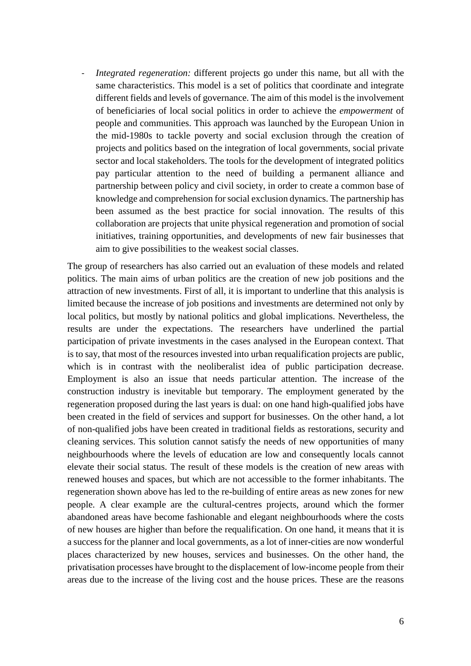*Integrated regeneration:* different projects go under this name, but all with the same characteristics. This model is a set of politics that coordinate and integrate different fields and levels of governance. The aim of this model is the involvement of beneficiaries of local social politics in order to achieve the *empowerment* of people and communities. This approach was launched by the European Union in the mid-1980s to tackle poverty and social exclusion through the creation of projects and politics based on the integration of local governments, social private sector and local stakeholders. The tools for the development of integrated politics pay particular attention to the need of building a permanent alliance and partnership between policy and civil society, in order to create a common base of knowledge and comprehension for social exclusion dynamics. The partnership has been assumed as the best practice for social innovation. The results of this collaboration are projects that unite physical regeneration and promotion of social initiatives, training opportunities, and developments of new fair businesses that aim to give possibilities to the weakest social classes.

The group of researchers has also carried out an evaluation of these models and related politics. The main aims of urban politics are the creation of new job positions and the attraction of new investments. First of all, it is important to underline that this analysis is limited because the increase of job positions and investments are determined not only by local politics, but mostly by national politics and global implications. Nevertheless, the results are under the expectations. The researchers have underlined the partial participation of private investments in the cases analysed in the European context. That is to say, that most of the resources invested into urban requalification projects are public, which is in contrast with the neoliberalist idea of public participation decrease. Employment is also an issue that needs particular attention. The increase of the construction industry is inevitable but temporary. The employment generated by the regeneration proposed during the last years is dual: on one hand high-qualified jobs have been created in the field of services and support for businesses. On the other hand, a lot of non-qualified jobs have been created in traditional fields as restorations, security and cleaning services. This solution cannot satisfy the needs of new opportunities of many neighbourhoods where the levels of education are low and consequently locals cannot elevate their social status. The result of these models is the creation of new areas with renewed houses and spaces, but which are not accessible to the former inhabitants. The regeneration shown above has led to the re-building of entire areas as new zones for new people. A clear example are the cultural-centres projects, around which the former abandoned areas have become fashionable and elegant neighbourhoods where the costs of new houses are higher than before the requalification. On one hand, it means that it is a success for the planner and local governments, as a lot of inner-cities are now wonderful places characterized by new houses, services and businesses. On the other hand, the privatisation processes have brought to the displacement of low-income people from their areas due to the increase of the living cost and the house prices. These are the reasons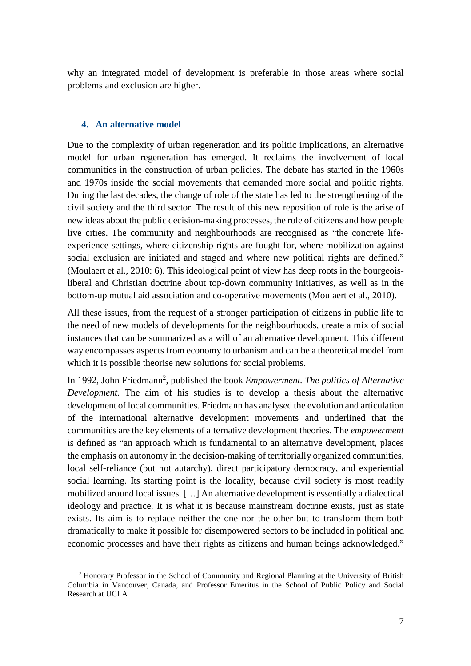why an integrated model of development is preferable in those areas where social problems and exclusion are higher.

#### **4. An alternative model**

 $\overline{a}$ 

Due to the complexity of urban regeneration and its politic implications, an alternative model for urban regeneration has emerged. It reclaims the involvement of local communities in the construction of urban policies. The debate has started in the 1960s and 1970s inside the social movements that demanded more social and politic rights. During the last decades, the change of role of the state has led to the strengthening of the civil society and the third sector. The result of this new reposition of role is the arise of new ideas about the public decision-making processes, the role of citizens and how people live cities. The community and neighbourhoods are recognised as "the concrete lifeexperience settings, where citizenship rights are fought for, where mobilization against social exclusion are initiated and staged and where new political rights are defined." (Moulaert et al., 2010: 6). This ideological point of view has deep roots in the bourgeoisliberal and Christian doctrine about top-down community initiatives, as well as in the bottom-up mutual aid association and co-operative movements (Moulaert et al., 2010).

All these issues, from the request of a stronger participation of citizens in public life to the need of new models of developments for the neighbourhoods, create a mix of social instances that can be summarized as a will of an alternative development. This different way encompasses aspects from economy to urbanism and can be a theoretical model from which it is possible theorise new solutions for social problems.

In 1992, John Friedmann<sup>2</sup>, published the book *Empowerment. The politics of Alternative Development.* The aim of his studies is to develop a thesis about the alternative development of local communities. Friedmann has analysed the evolution and articulation of the international alternative development movements and underlined that the communities are the key elements of alternative development theories. The *empowerment*  is defined as "an approach which is fundamental to an alternative development, places the emphasis on autonomy in the decision-making of territorially organized communities, local self-reliance (but not autarchy), direct participatory democracy, and experiential social learning. Its starting point is the locality, because civil society is most readily mobilized around local issues. […] An alternative development is essentially a dialectical ideology and practice. It is what it is because mainstream doctrine exists, just as state exists. Its aim is to replace neither the one nor the other but to transform them both dramatically to make it possible for disempowered sectors to be included in political and economic processes and have their rights as citizens and human beings acknowledged."

<sup>&</sup>lt;sup>2</sup> Honorary Professor in the School of Community and Regional Planning at the University of British Columbia in Vancouver, Canada, and Professor Emeritus in the School of Public Policy and Social Research at UCLA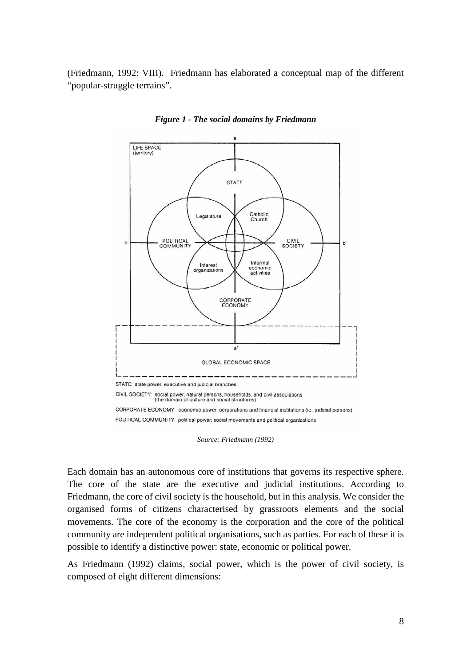(Friedmann, 1992: VIII). Friedmann has elaborated a conceptual map of the different "popular-struggle terrains".



*Figure 1 - The social domains by Friedmann* 

Each domain has an autonomous core of institutions that governs its respective sphere. The core of the state are the executive and judicial institutions. According to Friedmann, the core of civil society is the household, but in this analysis. We consider the organised forms of citizens characterised by grassroots elements and the social movements. The core of the economy is the corporation and the core of the political community are independent political organisations, such as parties. For each of these it is possible to identify a distinctive power: state, economic or political power.

As Friedmann (1992) claims, social power, which is the power of civil society, is composed of eight different dimensions:

*Source: Friedmann (1992)*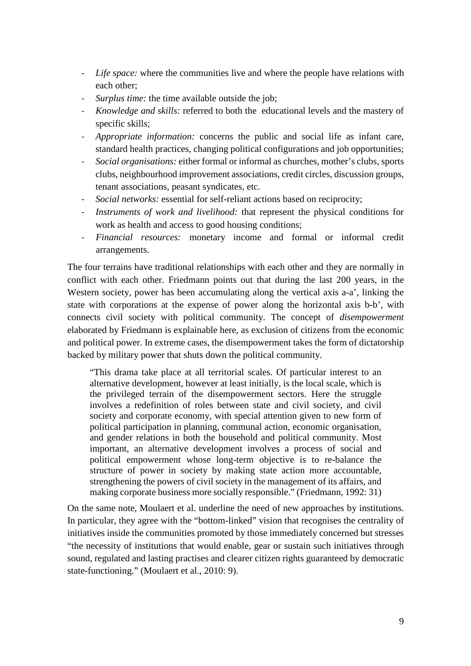- *Life space:* where the communities live and where the people have relations with each other;
- *Surplus time:* the time available outside the job;
- *Knowledge and skills:* referred to both the educational levels and the mastery of specific skills;
- *Appropriate information:* concerns the public and social life as infant care, standard health practices, changing political configurations and job opportunities;
- *Social organisations:* either formal or informal as churches, mother's clubs, sports clubs, neighbourhood improvement associations, credit circles, discussion groups, tenant associations, peasant syndicates, etc.
- *Social networks:* essential for self-reliant actions based on reciprocity;
- *Instruments of work and livelihood:* that represent the physical conditions for work as health and access to good housing conditions;
- *Financial resources:* monetary income and formal or informal credit arrangements.

The four terrains have traditional relationships with each other and they are normally in conflict with each other. Friedmann points out that during the last 200 years, in the Western society, power has been accumulating along the vertical axis a-a', linking the state with corporations at the expense of power along the horizontal axis b-b', with connects civil society with political community. The concept of *disempowerment*  elaborated by Friedmann is explainable here, as exclusion of citizens from the economic and political power. In extreme cases, the disempowerment takes the form of dictatorship backed by military power that shuts down the political community.

"This drama take place at all territorial scales. Of particular interest to an alternative development, however at least initially, is the local scale, which is the privileged terrain of the disempowerment sectors. Here the struggle involves a redefinition of roles between state and civil society, and civil society and corporate economy, with special attention given to new form of political participation in planning, communal action, economic organisation, and gender relations in both the household and political community. Most important, an alternative development involves a process of social and political empowerment whose long-term objective is to re-balance the structure of power in society by making state action more accountable, strengthening the powers of civil society in the management of its affairs, and making corporate business more socially responsible." (Friedmann, 1992: 31)

On the same note, Moulaert et al. underline the need of new approaches by institutions. In particular, they agree with the "bottom-linked" vision that recognises the centrality of initiatives inside the communities promoted by those immediately concerned but stresses "the necessity of institutions that would enable, gear or sustain such initiatives through sound, regulated and lasting practises and clearer citizen rights guaranteed by democratic state-functioning." (Moulaert et al., 2010: 9).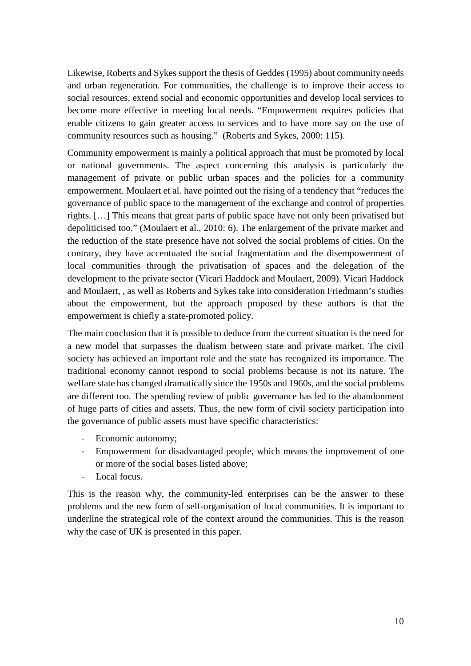Likewise, Roberts and Sykes support the thesis of Geddes (1995) about community needs and urban regeneration. For communities, the challenge is to improve their access to social resources, extend social and economic opportunities and develop local services to become more effective in meeting local needs. "Empowerment requires policies that enable citizens to gain greater access to services and to have more say on the use of community resources such as housing." (Roberts and Sykes, 2000: 115).

Community empowerment is mainly a political approach that must be promoted by local or national governments. The aspect concerning this analysis is particularly the management of private or public urban spaces and the policies for a community empowerment. Moulaert et al. have pointed out the rising of a tendency that "reduces the governance of public space to the management of the exchange and control of properties rights. […] This means that great parts of public space have not only been privatised but depoliticised too." (Moulaert et al., 2010: 6). The enlargement of the private market and the reduction of the state presence have not solved the social problems of cities. On the contrary, they have accentuated the social fragmentation and the disempowerment of local communities through the privatisation of spaces and the delegation of the development to the private sector (Vicari Haddock and Moulaert, 2009). Vicari Haddock and Moulaert, , as well as Roberts and Sykes take into consideration Friedmann's studies about the empowerment, but the approach proposed by these authors is that the empowerment is chiefly a state-promoted policy.

The main conclusion that it is possible to deduce from the current situation is the need for a new model that surpasses the dualism between state and private market. The civil society has achieved an important role and the state has recognized its importance. The traditional economy cannot respond to social problems because is not its nature. The welfare state has changed dramatically since the 1950s and 1960s, and the social problems are different too. The spending review of public governance has led to the abandonment of huge parts of cities and assets. Thus, the new form of civil society participation into the governance of public assets must have specific characteristics:

- Economic autonomy;
- Empowerment for disadvantaged people, which means the improvement of one or more of the social bases listed above;
- Local focus.

This is the reason why, the community-led enterprises can be the answer to these problems and the new form of self-organisation of local communities. It is important to underline the strategical role of the context around the communities. This is the reason why the case of UK is presented in this paper.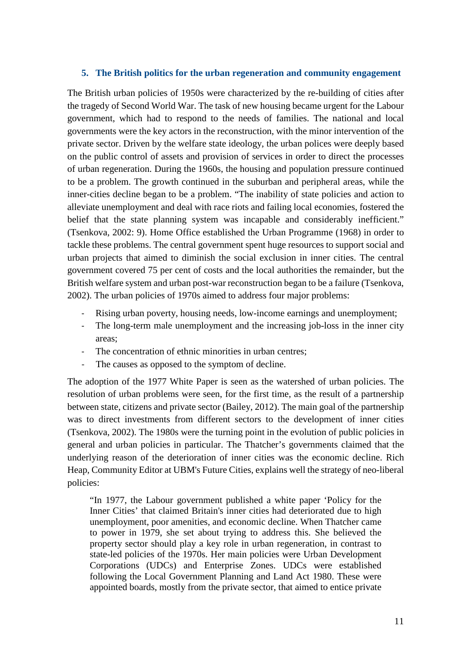#### **5. The British politics for the urban regeneration and community engagement**

The British urban policies of 1950s were characterized by the re-building of cities after the tragedy of Second World War. The task of new housing became urgent for the Labour government, which had to respond to the needs of families. The national and local governments were the key actors in the reconstruction, with the minor intervention of the private sector. Driven by the welfare state ideology, the urban polices were deeply based on the public control of assets and provision of services in order to direct the processes of urban regeneration. During the 1960s, the housing and population pressure continued to be a problem. The growth continued in the suburban and peripheral areas, while the inner-cities decline began to be a problem. "The inability of state policies and action to alleviate unemployment and deal with race riots and failing local economies, fostered the belief that the state planning system was incapable and considerably inefficient." (Tsenkova, 2002: 9). Home Office established the Urban Programme (1968) in order to tackle these problems. The central government spent huge resources to support social and urban projects that aimed to diminish the social exclusion in inner cities. The central government covered 75 per cent of costs and the local authorities the remainder, but the British welfare system and urban post-war reconstruction began to be a failure (Tsenkova, 2002). The urban policies of 1970s aimed to address four major problems:

- Rising urban poverty, housing needs, low-income earnings and unemployment;
- The long-term male unemployment and the increasing job-loss in the inner city areas;
- The concentration of ethnic minorities in urban centres;
- The causes as opposed to the symptom of decline.

The adoption of the 1977 White Paper is seen as the watershed of urban policies. The resolution of urban problems were seen, for the first time, as the result of a partnership between state, citizens and private sector (Bailey, 2012). The main goal of the partnership was to direct investments from different sectors to the development of inner cities (Tsenkova, 2002). The 1980s were the turning point in the evolution of public policies in general and urban policies in particular. The Thatcher's governments claimed that the underlying reason of the deterioration of inner cities was the economic decline. Rich Heap, Community Editor at UBM's Future Cities, explains well the strategy of neo-liberal policies:

"In 1977, the Labour government published a white paper 'Policy for the Inner Cities' that claimed Britain's inner cities had deteriorated due to high unemployment, poor amenities, and economic decline. When Thatcher came to power in 1979, she set about trying to address this. She believed the property sector should play a key role in urban regeneration, in contrast to state-led policies of the 1970s. Her main policies were Urban Development Corporations (UDCs) and Enterprise Zones. UDCs were established following the Local Government Planning and Land Act 1980. These were appointed boards, mostly from the private sector, that aimed to entice private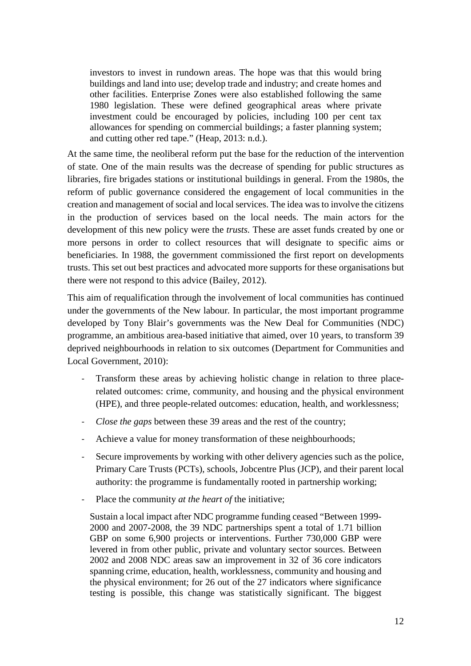investors to invest in rundown areas. The hope was that this would bring buildings and land into use; develop trade and industry; and create homes and other facilities. Enterprise Zones were also established following the same 1980 legislation. These were defined geographical areas where private investment could be encouraged by policies, including 100 per cent tax allowances for spending on commercial buildings; a faster planning system; and cutting other red tape." (Heap, 2013: n.d.).

At the same time, the neoliberal reform put the base for the reduction of the intervention of state. One of the main results was the decrease of spending for public structures as libraries, fire brigades stations or institutional buildings in general. From the 1980s, the reform of public governance considered the engagement of local communities in the creation and management of social and local services. The idea was to involve the citizens in the production of services based on the local needs. The main actors for the development of this new policy were the *trusts.* These are asset funds created by one or more persons in order to collect resources that will designate to specific aims or beneficiaries. In 1988, the government commissioned the first report on developments trusts. This set out best practices and advocated more supports for these organisations but there were not respond to this advice (Bailey, 2012).

This aim of requalification through the involvement of local communities has continued under the governments of the New labour*.* In particular, the most important programme developed by Tony Blair's governments was the New Deal for Communities (NDC) programme, an ambitious area-based initiative that aimed, over 10 years, to transform 39 deprived neighbourhoods in relation to six outcomes (Department for Communities and Local Government, 2010):

- Transform these areas by achieving holistic change in relation to three placerelated outcomes: crime, community, and housing and the physical environment (HPE), and three people-related outcomes: education, health, and worklessness;
- *Close the gaps* between these 39 areas and the rest of the country;
- Achieve a value for money transformation of these neighbourhoods;
- Secure improvements by working with other delivery agencies such as the police, Primary Care Trusts (PCTs), schools, Jobcentre Plus (JCP), and their parent local authority: the programme is fundamentally rooted in partnership working;
- Place the community *at the heart of* the initiative;

Sustain a local impact after NDC programme funding ceased "Between 1999- 2000 and 2007-2008, the 39 NDC partnerships spent a total of 1.71 billion GBP on some 6,900 projects or interventions. Further 730,000 GBP were levered in from other public, private and voluntary sector sources. Between 2002 and 2008 NDC areas saw an improvement in 32 of 36 core indicators spanning crime, education, health, worklessness, community and housing and the physical environment; for 26 out of the 27 indicators where significance testing is possible, this change was statistically significant. The biggest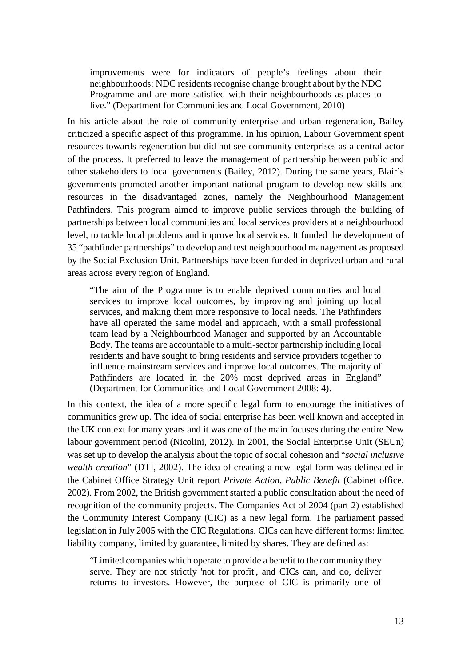improvements were for indicators of people's feelings about their neighbourhoods: NDC residents recognise change brought about by the NDC Programme and are more satisfied with their neighbourhoods as places to live." (Department for Communities and Local Government, 2010)

In his article about the role of community enterprise and urban regeneration, Bailey criticized a specific aspect of this programme. In his opinion, Labour Government spent resources towards regeneration but did not see community enterprises as a central actor of the process. It preferred to leave the management of partnership between public and other stakeholders to local governments (Bailey, 2012). During the same years, Blair's governments promoted another important national program to develop new skills and resources in the disadvantaged zones, namely the Neighbourhood Management Pathfinders. This program aimed to improve public services through the building of partnerships between local communities and local services providers at a neighbourhood level, to tackle local problems and improve local services. It funded the development of 35 "pathfinder partnerships" to develop and test neighbourhood management as proposed by the Social Exclusion Unit. Partnerships have been funded in deprived urban and rural areas across every region of England.

"The aim of the Programme is to enable deprived communities and local services to improve local outcomes, by improving and joining up local services, and making them more responsive to local needs. The Pathfinders have all operated the same model and approach, with a small professional team lead by a Neighbourhood Manager and supported by an Accountable Body. The teams are accountable to a multi-sector partnership including local residents and have sought to bring residents and service providers together to influence mainstream services and improve local outcomes. The majority of Pathfinders are located in the 20% most deprived areas in England" (Department for Communities and Local Government 2008: 4).

In this context, the idea of a more specific legal form to encourage the initiatives of communities grew up. The idea of social enterprise has been well known and accepted in the UK context for many years and it was one of the main focuses during the entire New labour government period (Nicolini, 2012). In 2001, the Social Enterprise Unit (SEUn) was set up to develop the analysis about the topic of social cohesion and "*social inclusive wealth creation*" (DTI, 2002). The idea of creating a new legal form was delineated in the Cabinet Office Strategy Unit report *Private Action, Public Benefit* (Cabinet office, 2002). From 2002, the British government started a public consultation about the need of recognition of the community projects. The Companies Act of 2004 (part 2) established the Community Interest Company (CIC) as a new legal form. The parliament passed legislation in July 2005 with the CIC Regulations. CICs can have different forms: limited liability company, limited by guarantee, limited by shares. They are defined as:

"Limited companies which operate to provide a benefit to the community they serve. They are not strictly 'not for profit', and CICs can, and do, deliver returns to investors. However, the purpose of CIC is primarily one of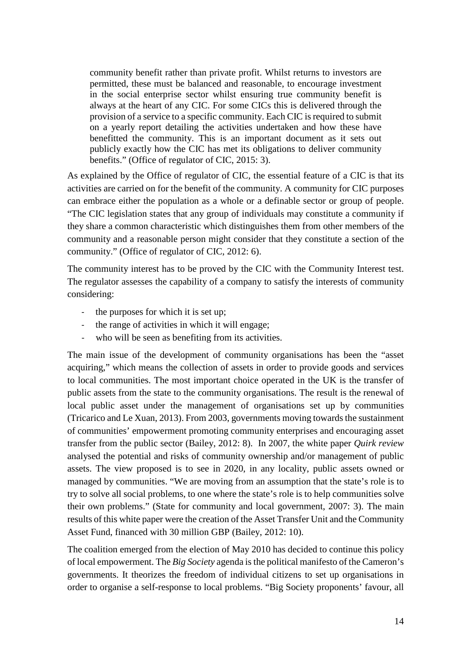community benefit rather than private profit. Whilst returns to investors are permitted, these must be balanced and reasonable, to encourage investment in the social enterprise sector whilst ensuring true community benefit is always at the heart of any CIC. For some CICs this is delivered through the provision of a service to a specific community. Each CIC is required to submit on a yearly report detailing the activities undertaken and how these have benefitted the community. This is an important document as it sets out publicly exactly how the CIC has met its obligations to deliver community benefits." (Office of regulator of CIC, 2015: 3).

As explained by the Office of regulator of CIC, the essential feature of a CIC is that its activities are carried on for the benefit of the community. A community for CIC purposes can embrace either the population as a whole or a definable sector or group of people. "The CIC legislation states that any group of individuals may constitute a community if they share a common characteristic which distinguishes them from other members of the community and a reasonable person might consider that they constitute a section of the community." (Office of regulator of CIC, 2012: 6).

The community interest has to be proved by the CIC with the Community Interest test. The regulator assesses the capability of a company to satisfy the interests of community considering:

- the purposes for which it is set up;
- the range of activities in which it will engage;
- who will be seen as benefiting from its activities.

The main issue of the development of community organisations has been the "asset acquiring," which means the collection of assets in order to provide goods and services to local communities. The most important choice operated in the UK is the transfer of public assets from the state to the community organisations. The result is the renewal of local public asset under the management of organisations set up by communities (Tricarico and Le Xuan, 2013). From 2003, governments moving towards the sustainment of communities' empowerment promoting community enterprises and encouraging asset transfer from the public sector (Bailey, 2012: 8). In 2007, the white paper *Quirk review* analysed the potential and risks of community ownership and/or management of public assets. The view proposed is to see in 2020, in any locality, public assets owned or managed by communities. "We are moving from an assumption that the state's role is to try to solve all social problems, to one where the state's role is to help communities solve their own problems." (State for community and local government, 2007: 3). The main results of this white paper were the creation of the Asset Transfer Unit and the Community Asset Fund, financed with 30 million GBP (Bailey, 2012: 10).

The coalition emerged from the election of May 2010 has decided to continue this policy of local empowerment. The *Big Society* agenda is the political manifesto of the Cameron's governments. It theorizes the freedom of individual citizens to set up organisations in order to organise a self-response to local problems. "Big Society proponents' favour, all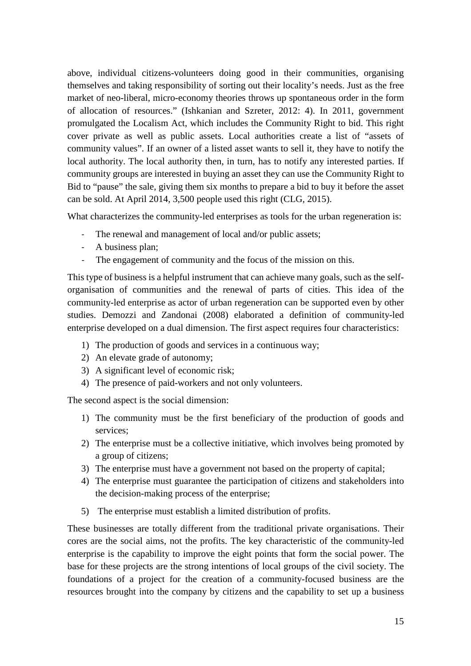above, individual citizens-volunteers doing good in their communities, organising themselves and taking responsibility of sorting out their locality's needs. Just as the free market of neo-liberal, micro-economy theories throws up spontaneous order in the form of allocation of resources." (Ishkanian and Szreter, 2012: 4). In 2011, government promulgated the Localism Act, which includes the Community Right to bid. This right cover private as well as public assets. Local authorities create a list of "assets of community values". If an owner of a listed asset wants to sell it, they have to notify the local authority. The local authority then, in turn, has to notify any interested parties. If community groups are interested in buying an asset they can use the Community Right to Bid to "pause" the sale, giving them six months to prepare a bid to buy it before the asset can be sold. At April 2014, 3,500 people used this right (CLG, 2015).

What characterizes the community-led enterprises as tools for the urban regeneration is:

- The renewal and management of local and/or public assets;
- A business plan;
- The engagement of community and the focus of the mission on this.

This type of business is a helpful instrument that can achieve many goals, such as the selforganisation of communities and the renewal of parts of cities. This idea of the community-led enterprise as actor of urban regeneration can be supported even by other studies. Demozzi and Zandonai (2008) elaborated a definition of community-led enterprise developed on a dual dimension. The first aspect requires four characteristics:

- 1) The production of goods and services in a continuous way;
- 2) An elevate grade of autonomy;
- 3) A significant level of economic risk;
- 4) The presence of paid-workers and not only volunteers.

The second aspect is the social dimension:

- 1) The community must be the first beneficiary of the production of goods and services;
- 2) The enterprise must be a collective initiative, which involves being promoted by a group of citizens;
- 3) The enterprise must have a government not based on the property of capital;
- 4) The enterprise must guarantee the participation of citizens and stakeholders into the decision-making process of the enterprise;
- 5) The enterprise must establish a limited distribution of profits.

These businesses are totally different from the traditional private organisations. Their cores are the social aims, not the profits. The key characteristic of the community-led enterprise is the capability to improve the eight points that form the social power. The base for these projects are the strong intentions of local groups of the civil society. The foundations of a project for the creation of a community-focused business are the resources brought into the company by citizens and the capability to set up a business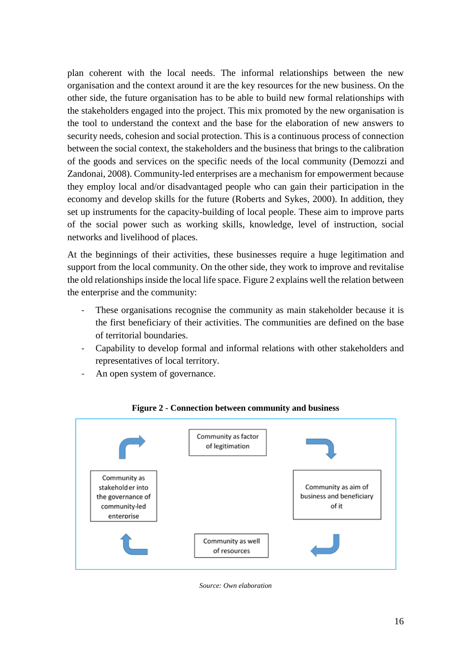plan coherent with the local needs. The informal relationships between the new organisation and the context around it are the key resources for the new business. On the other side, the future organisation has to be able to build new formal relationships with the stakeholders engaged into the project. This mix promoted by the new organisation is the tool to understand the context and the base for the elaboration of new answers to security needs, cohesion and social protection. This is a continuous process of connection between the social context, the stakeholders and the business that brings to the calibration of the goods and services on the specific needs of the local community (Demozzi and Zandonai, 2008). Community-led enterprises are a mechanism for empowerment because they employ local and/or disadvantaged people who can gain their participation in the economy and develop skills for the future (Roberts and Sykes, 2000). In addition, they set up instruments for the capacity-building of local people. These aim to improve parts of the social power such as working skills, knowledge, level of instruction, social networks and livelihood of places.

At the beginnings of their activities, these businesses require a huge legitimation and support from the local community. On the other side, they work to improve and revitalise the old relationships inside the local life space. Figure 2 explains well the relation between the enterprise and the community:

- These organisations recognise the community as main stakeholder because it is the first beneficiary of their activities. The communities are defined on the base of territorial boundaries.
- Capability to develop formal and informal relations with other stakeholders and representatives of local territory.
- An open system of governance.



#### **Figure 2 - Connection between community and business**

*Source: Own elaboration*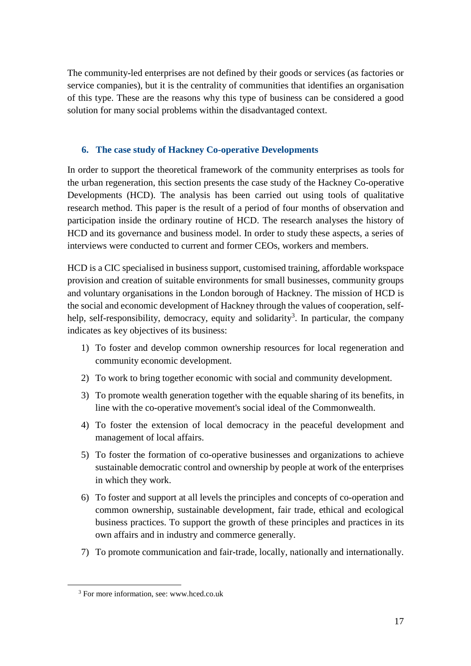The community-led enterprises are not defined by their goods or services (as factories or service companies), but it is the centrality of communities that identifies an organisation of this type. These are the reasons why this type of business can be considered a good solution for many social problems within the disadvantaged context.

### **6. The case study of Hackney Co-operative Developments**

In order to support the theoretical framework of the community enterprises as tools for the urban regeneration, this section presents the case study of the Hackney Co-operative Developments (HCD). The analysis has been carried out using tools of qualitative research method. This paper is the result of a period of four months of observation and participation inside the ordinary routine of HCD. The research analyses the history of HCD and its governance and business model. In order to study these aspects, a series of interviews were conducted to current and former CEOs, workers and members.

HCD is a CIC specialised in business support, customised training, affordable workspace provision and creation of suitable environments for small businesses, community groups and voluntary organisations in the London borough of Hackney. The mission of HCD is the social and economic development of Hackney through the values of cooperation, selfhelp, self-responsibility, democracy, equity and solidarity<sup>3</sup>. In particular, the company indicates as key objectives of its business:

- 1) To foster and develop common ownership resources for local regeneration and community economic development.
- 2) To work to bring together economic with social and community development.
- 3) To promote wealth generation together with the equable sharing of its benefits, in line with the co-operative movement's social ideal of the Commonwealth.
- 4) To foster the extension of local democracy in the peaceful development and management of local affairs.
- 5) To foster the formation of co-operative businesses and organizations to achieve sustainable democratic control and ownership by people at work of the enterprises in which they work.
- 6) To foster and support at all levels the principles and concepts of co-operation and common ownership, sustainable development, fair trade, ethical and ecological business practices. To support the growth of these principles and practices in its own affairs and in industry and commerce generally.
- 7) To promote communication and fair-trade, locally, nationally and internationally.

 $\overline{a}$ 

<sup>3</sup> For more information, see: www.hced.co.uk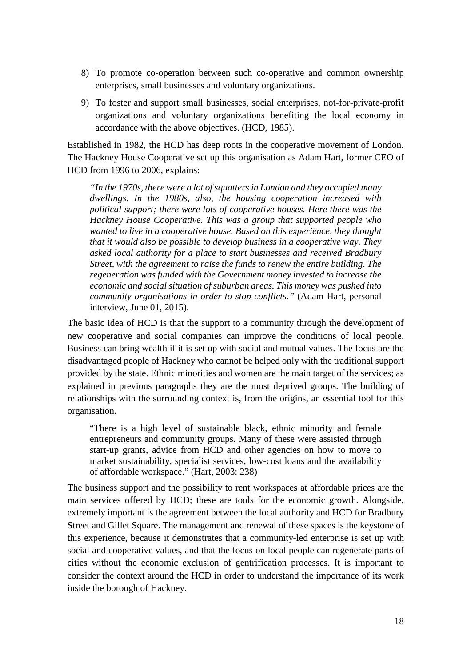- 8) To promote co-operation between such co-operative and common ownership enterprises, small businesses and voluntary organizations.
- 9) To foster and support small businesses, social enterprises, not-for-private-profit organizations and voluntary organizations benefiting the local economy in accordance with the above objectives. (HCD, 1985).

Established in 1982, the HCD has deep roots in the cooperative movement of London. The Hackney House Cooperative set up this organisation as Adam Hart, former CEO of HCD from 1996 to 2006, explains:

*"In the 1970s, there were a lot of squatters in London and they occupied many dwellings. In the 1980s, also, the housing cooperation increased with political support; there were lots of cooperative houses. Here there was the Hackney House Cooperative. This was a group that supported people who wanted to live in a cooperative house. Based on this experience, they thought that it would also be possible to develop business in a cooperative way. They asked local authority for a place to start businesses and received Bradbury Street, with the agreement to raise the funds to renew the entire building. The regeneration was funded with the Government money invested to increase the economic and social situation of suburban areas. This money was pushed into community organisations in order to stop conflicts."* (Adam Hart, personal interview, June 01, 2015).

The basic idea of HCD is that the support to a community through the development of new cooperative and social companies can improve the conditions of local people. Business can bring wealth if it is set up with social and mutual values. The focus are the disadvantaged people of Hackney who cannot be helped only with the traditional support provided by the state. Ethnic minorities and women are the main target of the services; as explained in previous paragraphs they are the most deprived groups. The building of relationships with the surrounding context is, from the origins, an essential tool for this organisation.

"There is a high level of sustainable black, ethnic minority and female entrepreneurs and community groups. Many of these were assisted through start-up grants, advice from HCD and other agencies on how to move to market sustainability, specialist services, low-cost loans and the availability of affordable workspace." (Hart, 2003: 238)

The business support and the possibility to rent workspaces at affordable prices are the main services offered by HCD; these are tools for the economic growth. Alongside, extremely important is the agreement between the local authority and HCD for Bradbury Street and Gillet Square. The management and renewal of these spaces is the keystone of this experience, because it demonstrates that a community-led enterprise is set up with social and cooperative values, and that the focus on local people can regenerate parts of cities without the economic exclusion of gentrification processes. It is important to consider the context around the HCD in order to understand the importance of its work inside the borough of Hackney.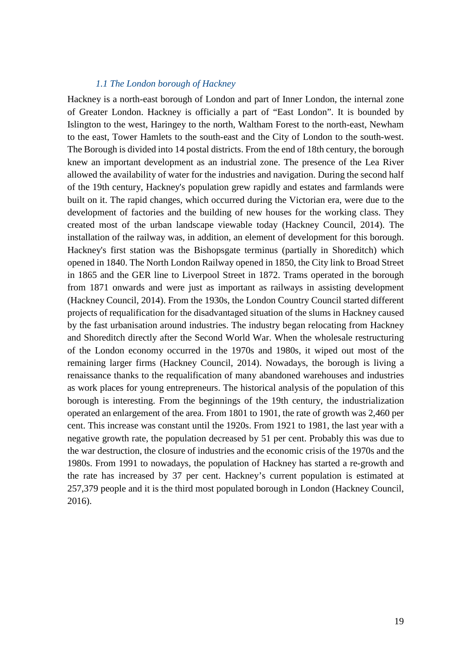#### *1.1 The London borough of Hackney*

Hackney is a north-east borough of London and part of Inner London, the internal zone of Greater London. Hackney is officially a part of "East London". It is bounded by Islington to the west, Haringey to the north, Waltham Forest to the north-east, Newham to the east, Tower Hamlets to the south-east and the City of London to the south-west. The Borough is divided into 14 postal districts. From the end of 18th century, the borough knew an important development as an industrial zone. The presence of the Lea River allowed the availability of water for the industries and navigation. During the second half of the 19th century, Hackney's population grew rapidly and estates and farmlands were built on it. The rapid changes, which occurred during the Victorian era, were due to the development of factories and the building of new houses for the working class. They created most of the urban landscape viewable today (Hackney Council, 2014). The installation of the railway was, in addition, an element of development for this borough. Hackney's first station was the Bishopsgate terminus (partially in Shoreditch) which opened in 1840. The North London Railway opened in 1850, the City link to Broad Street in 1865 and the GER line to Liverpool Street in 1872. Trams operated in the borough from 1871 onwards and were just as important as railways in assisting development (Hackney Council, 2014). From the 1930s, the London Country Council started different projects of requalification for the disadvantaged situation of the slums in Hackney caused by the fast urbanisation around industries. The industry began relocating from Hackney and Shoreditch directly after the Second World War. When the wholesale restructuring of the London economy occurred in the 1970s and 1980s, it wiped out most of the remaining larger firms (Hackney Council, 2014). Nowadays, the borough is living a renaissance thanks to the requalification of many abandoned warehouses and industries as work places for young entrepreneurs. The historical analysis of the population of this borough is interesting. From the beginnings of the 19th century, the industrialization operated an enlargement of the area. From 1801 to 1901, the rate of growth was 2,460 per cent. This increase was constant until the 1920s. From 1921 to 1981, the last year with a negative growth rate, the population decreased by 51 per cent. Probably this was due to the war destruction, the closure of industries and the economic crisis of the 1970s and the 1980s. From 1991 to nowadays, the population of Hackney has started a re-growth and the rate has increased by 37 per cent. Hackney's current population is estimated at 257,379 people and it is the third most populated borough in London (Hackney Council, 2016).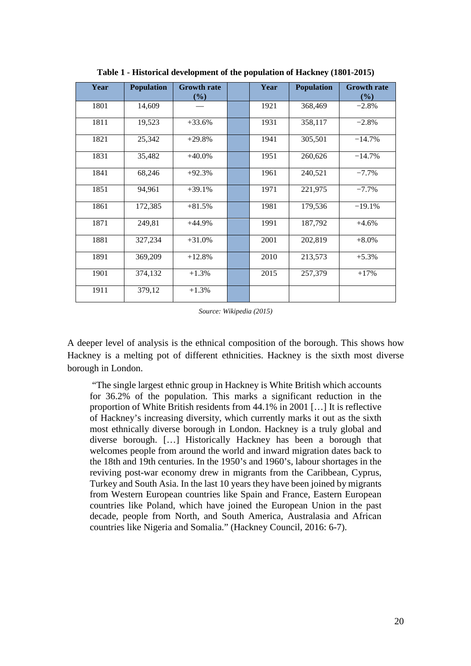| Year | <b>Population</b> | <b>Growth rate</b><br>(%) | Year | <b>Population</b> | <b>Growth rate</b><br>(%) |
|------|-------------------|---------------------------|------|-------------------|---------------------------|
| 1801 | 14,609            |                           | 1921 | 368,469           | $-2.8%$                   |
| 1811 | 19,523            | $+33.6%$                  | 1931 | 358,117           | $-2.8%$                   |
| 1821 | 25,342            | $+29.8%$                  | 1941 | 305,501           | $-14.7%$                  |
| 1831 | 35,482            | $+40.0%$                  | 1951 | 260,626           | $-14.7%$                  |
| 1841 | 68,246            | $+92.3%$                  | 1961 | 240,521           | $-7.7\%$                  |
| 1851 | 94,961            | $+39.1%$                  | 1971 | 221,975           | $-7.7%$                   |
| 1861 | 172,385           | $+81.5%$                  | 1981 | 179,536           | $-19.1%$                  |
| 1871 | 249,81            | $+44.9%$                  | 1991 | 187,792           | $+4.6%$                   |
| 1881 | 327,234           | $+31.0%$                  | 2001 | 202,819           | $+8.0\%$                  |
| 1891 | 369,209           | $+12.8%$                  | 2010 | 213,573           | $+5.3%$                   |
| 1901 | 374,132           | $+1.3%$                   | 2015 | 257,379           | $+17%$                    |
| 1911 | 379,12            | $+1.3%$                   |      |                   |                           |

**Table 1 - Historical development of the population of Hackney (1801-2015)** 

*Source: Wikipedia (2015)* 

A deeper level of analysis is the ethnical composition of the borough. This shows how Hackney is a melting pot of different ethnicities. Hackney is the sixth most diverse borough in London.

 "The single largest ethnic group in Hackney is White British which accounts for 36.2% of the population. This marks a significant reduction in the proportion of White British residents from 44.1% in 2001 […] It is reflective of Hackney's increasing diversity, which currently marks it out as the sixth most ethnically diverse borough in London. Hackney is a truly global and diverse borough. […] Historically Hackney has been a borough that welcomes people from around the world and inward migration dates back to the 18th and 19th centuries. In the 1950's and 1960's, labour shortages in the reviving post-war economy drew in migrants from the Caribbean, Cyprus, Turkey and South Asia. In the last 10 years they have been joined by migrants from Western European countries like Spain and France, Eastern European countries like Poland, which have joined the European Union in the past decade, people from North, and South America, Australasia and African countries like Nigeria and Somalia." (Hackney Council, 2016: 6-7).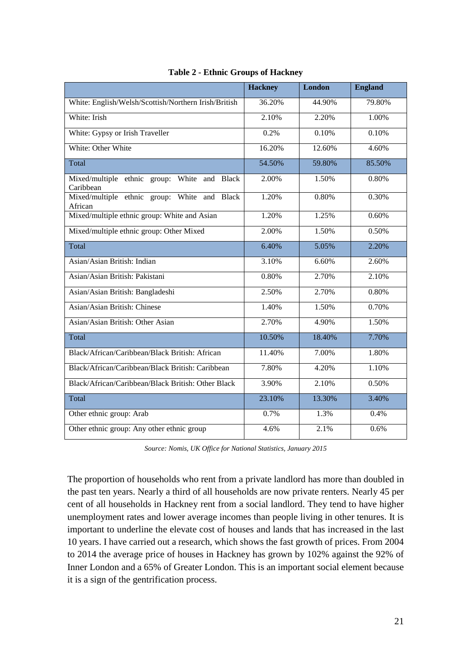|                                                           | <b>Hackney</b> | London | <b>England</b> |
|-----------------------------------------------------------|----------------|--------|----------------|
| White: English/Welsh/Scottish/Northern Irish/British      | 36.20%         | 44.90% | 79.80%         |
| White: Irish                                              | 2.10%          | 2.20%  | 1.00%          |
| White: Gypsy or Irish Traveller                           | 0.2%           | 0.10%  | 0.10%          |
| White: Other White                                        | 16.20%         | 12.60% | 4.60%          |
| Total                                                     | 54.50%         | 59.80% | 85.50%         |
| Mixed/multiple ethnic group: White and Black<br>Caribbean | 2.00%          | 1.50%  | 0.80%          |
| Mixed/multiple ethnic group: White and Black<br>African   | 1.20%          | 0.80%  | 0.30%          |
| Mixed/multiple ethnic group: White and Asian              | 1.20%          | 1.25%  | 0.60%          |
| Mixed/multiple ethnic group: Other Mixed                  | 2.00%          | 1.50%  | 0.50%          |
| Total                                                     | 6.40%          | 5.05%  | 2.20%          |
| Asian/Asian British: Indian                               | 3.10%          | 6.60%  | 2.60%          |
| Asian/Asian British: Pakistani                            | 0.80%          | 2.70%  | 2.10%          |
| Asian/Asian British: Bangladeshi                          | 2.50%          | 2.70%  | 0.80%          |
| Asian/Asian British: Chinese                              | 1.40%          | 1.50%  | 0.70%          |
| Asian/Asian British: Other Asian                          | 2.70%          | 4.90%  | 1.50%          |
| Total                                                     | 10.50%         | 18.40% | 7.70%          |
| Black/African/Caribbean/Black British: African            | 11.40%         | 7.00%  | 1.80%          |
| Black/African/Caribbean/Black British: Caribbean          | 7.80%          | 4.20%  | 1.10%          |
| Black/African/Caribbean/Black British: Other Black        | 3.90%          | 2.10%  | 0.50%          |
| Total                                                     | 23.10%         | 13.30% | 3.40%          |
| Other ethnic group: Arab                                  | 0.7%           | 1.3%   | 0.4%           |
| Other ethnic group: Any other ethnic group                | 4.6%           | 2.1%   | 0.6%           |

**Table 2 - Ethnic Groups of Hackney** 

*Source: Nomis, UK Office for National Statistics, January 2015* 

The proportion of households who rent from a private landlord has more than doubled in the past ten years. Nearly a third of all households are now private renters. Nearly 45 per cent of all households in Hackney rent from a social landlord. They tend to have higher unemployment rates and lower average incomes than people living in other tenures. It is important to underline the elevate cost of houses and lands that has increased in the last 10 years. I have carried out a research, which shows the fast growth of prices. From 2004 to 2014 the average price of houses in Hackney has grown by 102% against the 92% of Inner London and a 65% of Greater London. This is an important social element because it is a sign of the gentrification process.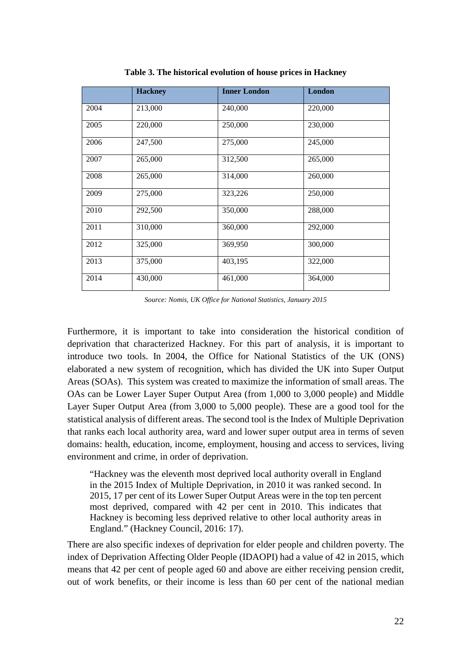|      | <b>Hackney</b> | <b>Inner London</b> | <b>London</b> |
|------|----------------|---------------------|---------------|
| 2004 | 213,000        | 240,000             | 220,000       |
| 2005 | 220,000        | 250,000             | 230,000       |
| 2006 | 247,500        | 275,000             | 245,000       |
| 2007 | 265,000        | 312,500             | 265,000       |
| 2008 | 265,000        | 314,000             | 260,000       |
| 2009 | 275,000        | 323,226             | 250,000       |
| 2010 | 292,500        | 350,000             | 288,000       |
| 2011 | 310,000        | 360,000             | 292,000       |
| 2012 | 325,000        | 369,950             | 300,000       |
| 2013 | 375,000        | 403,195             | 322,000       |
| 2014 | 430,000        | 461,000             | 364,000       |

**Table 3. The historical evolution of house prices in Hackney**

*Source: Nomis, UK Office for National Statistics, January 2015* 

Furthermore, it is important to take into consideration the historical condition of deprivation that characterized Hackney. For this part of analysis, it is important to introduce two tools. In 2004, the Office for National Statistics of the UK (ONS) elaborated a new system of recognition, which has divided the UK into Super Output Areas (SOAs). This system was created to maximize the information of small areas. The OAs can be Lower Layer Super Output Area (from 1,000 to 3,000 people) and Middle Layer Super Output Area (from 3,000 to 5,000 people). These are a good tool for the statistical analysis of different areas. The second tool is the Index of Multiple Deprivation that ranks each local authority area, ward and lower super output area in terms of seven domains: health, education, income, employment, housing and access to services, living environment and crime, in order of deprivation.

"Hackney was the eleventh most deprived local authority overall in England in the 2015 Index of Multiple Deprivation, in 2010 it was ranked second. In 2015, 17 per cent of its Lower Super Output Areas were in the top ten percent most deprived, compared with 42 per cent in 2010. This indicates that Hackney is becoming less deprived relative to other local authority areas in England." (Hackney Council, 2016: 17).

There are also specific indexes of deprivation for elder people and children poverty. The index of Deprivation Affecting Older People (IDAOPI) had a value of 42 in 2015, which means that 42 per cent of people aged 60 and above are either receiving pension credit, out of work benefits, or their income is less than 60 per cent of the national median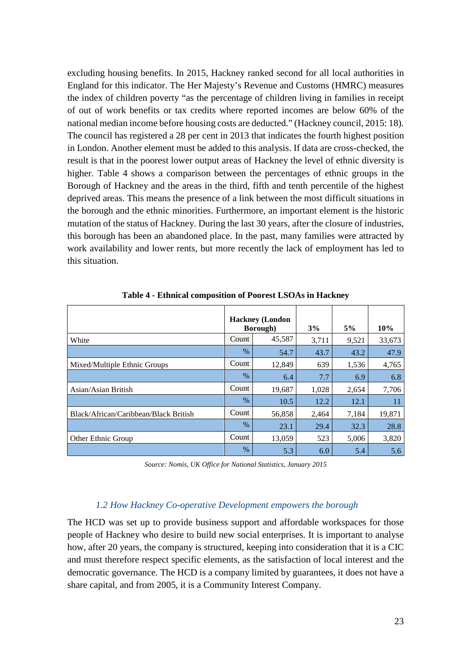excluding housing benefits. In 2015, Hackney ranked second for all local authorities in England for this indicator. The Her Majesty's Revenue and Customs (HMRC) measures the index of children poverty "as the percentage of children living in families in receipt of out of work benefits or tax credits where reported incomes are below 60% of the national median income before housing costs are deducted." (Hackney council, 2015: 18). The council has registered a 28 per cent in 2013 that indicates the fourth highest position in London. Another element must be added to this analysis. If data are cross-checked, the result is that in the poorest lower output areas of Hackney the level of ethnic diversity is higher. Table 4 shows a comparison between the percentages of ethnic groups in the Borough of Hackney and the areas in the third, fifth and tenth percentile of the highest deprived areas. This means the presence of a link between the most difficult situations in the borough and the ethnic minorities. Furthermore, an important element is the historic mutation of the status of Hackney. During the last 30 years, after the closure of industries, this borough has been an abandoned place. In the past, many families were attracted by work availability and lower rents, but more recently the lack of employment has led to this situation.

|                                       |       | <b>Hackney</b> (London<br><b>Borough</b> ) | 3%    | 5%    | 10%    |
|---------------------------------------|-------|--------------------------------------------|-------|-------|--------|
| White                                 | Count | 45,587                                     | 3,711 | 9,521 | 33,673 |
|                                       | $\%$  | 54.7                                       | 43.7  | 43.2  | 47.9   |
| Mixed/Multiple Ethnic Groups          | Count | 12,849                                     | 639   | 1,536 | 4,765  |
|                                       | $\%$  | 6.4                                        | 7.7   | 6.9   | 6.8    |
| Asian/Asian British                   | Count | 19,687                                     | 1,028 | 2,654 | 7,706  |
|                                       | $\%$  | 10.5                                       | 12.2  | 12.1  | 11     |
| Black/African/Caribbean/Black British | Count | 56,858                                     | 2,464 | 7,184 | 19,871 |
|                                       | $\%$  | 23.1                                       | 29.4  | 32.3  | 28.8   |
| Other Ethnic Group                    | Count | 13,059                                     | 523   | 5,006 | 3,820  |
|                                       | $\%$  | 5.3                                        | 6.0   | 5.4   | 5.6    |

**Table 4 - Ethnical composition of Poorest LSOAs in Hackney** 

*Source: Nomis, UK Office for National Statistics, January 2015* 

#### *1.2 How Hackney Co-operative Development empowers the borough*

The HCD was set up to provide business support and affordable workspaces for those people of Hackney who desire to build new social enterprises. It is important to analyse how, after 20 years, the company is structured, keeping into consideration that it is a CIC and must therefore respect specific elements, as the satisfaction of local interest and the democratic governance. The HCD is a company limited by guarantees, it does not have a share capital, and from 2005, it is a Community Interest Company.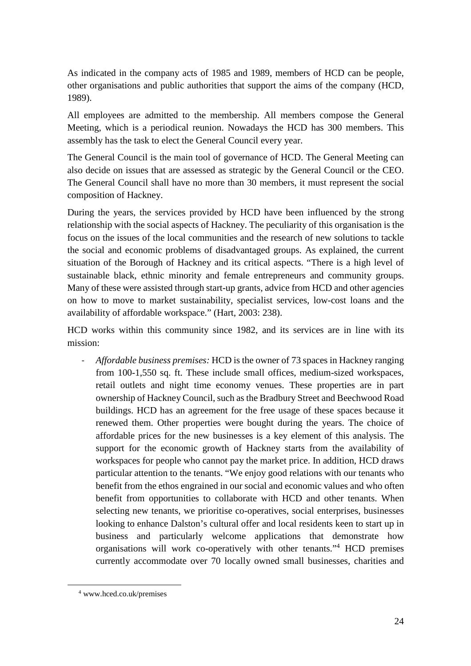As indicated in the company acts of 1985 and 1989, members of HCD can be people, other organisations and public authorities that support the aims of the company (HCD, 1989).

All employees are admitted to the membership. All members compose the General Meeting, which is a periodical reunion. Nowadays the HCD has 300 members. This assembly has the task to elect the General Council every year.

The General Council is the main tool of governance of HCD. The General Meeting can also decide on issues that are assessed as strategic by the General Council or the CEO. The General Council shall have no more than 30 members, it must represent the social composition of Hackney.

During the years, the services provided by HCD have been influenced by the strong relationship with the social aspects of Hackney. The peculiarity of this organisation is the focus on the issues of the local communities and the research of new solutions to tackle the social and economic problems of disadvantaged groups. As explained, the current situation of the Borough of Hackney and its critical aspects. "There is a high level of sustainable black, ethnic minority and female entrepreneurs and community groups. Many of these were assisted through start-up grants, advice from HCD and other agencies on how to move to market sustainability, specialist services, low-cost loans and the availability of affordable workspace." (Hart, 2003: 238).

HCD works within this community since 1982, and its services are in line with its mission:

- *Affordable business premises:* HCD is the owner of 73 spaces in Hackney ranging from 100-1,550 sq. ft. These include small offices, medium-sized workspaces, retail outlets and night time economy venues. These properties are in part ownership of Hackney Council, such as the Bradbury Street and Beechwood Road buildings. HCD has an agreement for the free usage of these spaces because it renewed them. Other properties were bought during the years. The choice of affordable prices for the new businesses is a key element of this analysis. The support for the economic growth of Hackney starts from the availability of workspaces for people who cannot pay the market price. In addition, HCD draws particular attention to the tenants. "We enjoy good relations with our tenants who benefit from the ethos engrained in our social and economic values and who often benefit from opportunities to collaborate with HCD and other tenants. When selecting new tenants, we prioritise co-operatives, social enterprises, businesses looking to enhance Dalston's cultural offer and local residents keen to start up in business and particularly welcome applications that demonstrate how organisations will work co-operatively with other tenants."<sup>4</sup> HCD premises currently accommodate over 70 locally owned small businesses, charities and

 $\overline{a}$ 

<sup>4</sup> www.hced.co.uk/premises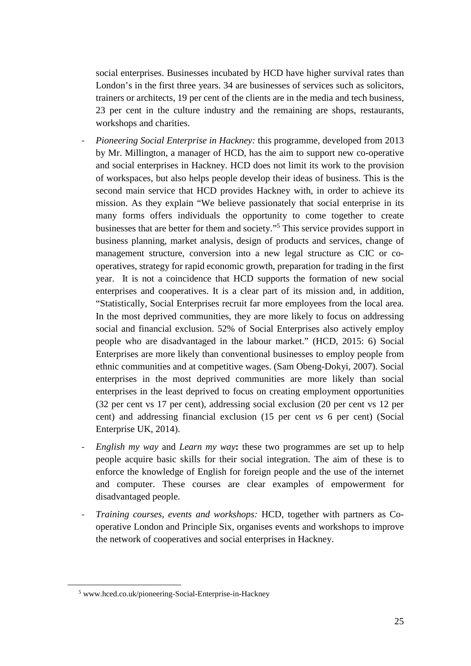social enterprises. Businesses incubated by HCD have higher survival rates than London's in the first three years. 34 are businesses of services such as solicitors, trainers or architects, 19 per cent of the clients are in the media and tech business, 23 per cent in the culture industry and the remaining are shops, restaurants, workshops and charities.

- *Pioneering Social Enterprise in Hackney:* this programme, developed from 2013 by Mr. Millington, a manager of HCD, has the aim to support new co-operative and social enterprises in Hackney. HCD does not limit its work to the provision of workspaces, but also helps people develop their ideas of business. This is the second main service that HCD provides Hackney with, in order to achieve its mission. As they explain "We believe passionately that social enterprise in its many forms offers individuals the opportunity to come together to create businesses that are better for them and society."<sup>5</sup> This service provides support in business planning, market analysis, design of products and services, change of management structure, conversion into a new legal structure as CIC or cooperatives, strategy for rapid economic growth, preparation for trading in the first year. It is not a coincidence that HCD supports the formation of new social enterprises and cooperatives. It is a clear part of its mission and, in addition, "Statistically, Social Enterprises recruit far more employees from the local area. In the most deprived communities, they are more likely to focus on addressing social and financial exclusion. 52% of Social Enterprises also actively employ people who are disadvantaged in the labour market." (HCD, 2015: 6) Social Enterprises are more likely than conventional businesses to employ people from ethnic communities and at competitive wages. (Sam Obeng-Dokyi, 2007). Social enterprises in the most deprived communities are more likely than social enterprises in the least deprived to focus on creating employment opportunities (32 per cent vs 17 per cent), addressing social exclusion (20 per cent vs 12 per cent) and addressing financial exclusion (15 per cent *vs* 6 per cent) (Social Enterprise UK, 2014).
- *English my way* and *Learn my way***:** these two programmes are set up to help people acquire basic skills for their social integration. The aim of these is to enforce the knowledge of English for foreign people and the use of the internet and computer. These courses are clear examples of empowerment for disadvantaged people.
- *Training courses, events and workshops:* HCD, together with partners as Cooperative London and Principle Six, organises events and workshops to improve the network of cooperatives and social enterprises in Hackney.

 $\overline{a}$ 

<sup>5</sup> www.hced.co.uk/pioneering-Social-Enterprise-in-Hackney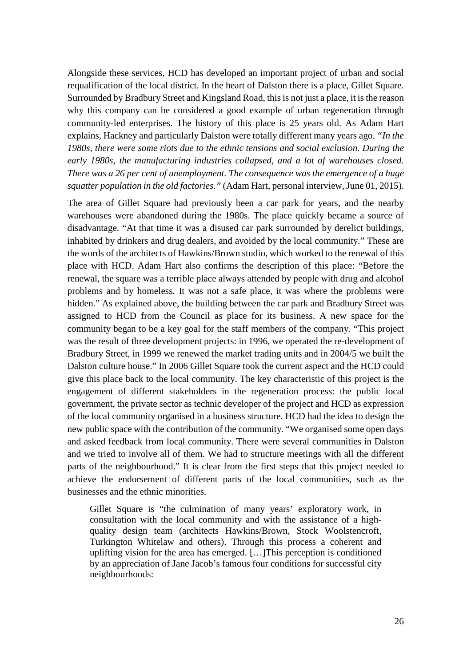Alongside these services, HCD has developed an important project of urban and social requalification of the local district. In the heart of Dalston there is a place, Gillet Square. Surrounded by Bradbury Street and Kingsland Road, this is not just a place, it is the reason why this company can be considered a good example of urban regeneration through community-led enterprises. The history of this place is 25 years old. As Adam Hart explains, Hackney and particularly Dalston were totally different many years ago. *"In the 1980s, there were some riots due to the ethnic tensions and social exclusion. During the early 1980s, the manufacturing industries collapsed, and a lot of warehouses closed. There was a 26 per cent of unemployment. The consequence was the emergence of a huge squatter population in the old factories."* (Adam Hart, personal interview, June 01, 2015).

The area of Gillet Square had previously been a car park for years, and the nearby warehouses were abandoned during the 1980s. The place quickly became a source of disadvantage. "At that time it was a disused car park surrounded by derelict buildings, inhabited by drinkers and drug dealers, and avoided by the local community." These are the words of the architects of Hawkins/Brown studio, which worked to the renewal of this place with HCD. Adam Hart also confirms the description of this place: "Before the renewal, the square was a terrible place always attended by people with drug and alcohol problems and by homeless. It was not a safe place, it was where the problems were hidden." As explained above, the building between the car park and Bradbury Street was assigned to HCD from the Council as place for its business. A new space for the community began to be a key goal for the staff members of the company. "This project was the result of three development projects: in 1996, we operated the re-development of Bradbury Street, in 1999 we renewed the market trading units and in 2004/5 we built the Dalston culture house." In 2006 Gillet Square took the current aspect and the HCD could give this place back to the local community. The key characteristic of this project is the engagement of different stakeholders in the regeneration process: the public local government, the private sector as technic developer of the project and HCD as expression of the local community organised in a business structure. HCD had the idea to design the new public space with the contribution of the community. "We organised some open days and asked feedback from local community. There were several communities in Dalston and we tried to involve all of them. We had to structure meetings with all the different parts of the neighbourhood." It is clear from the first steps that this project needed to achieve the endorsement of different parts of the local communities, such as the businesses and the ethnic minorities.

Gillet Square is "the culmination of many years' exploratory work, in consultation with the local community and with the assistance of a highquality design team (architects Hawkins/Brown, Stock Woolstencroft, Turkington Whitelaw and others). Through this process a coherent and uplifting vision for the area has emerged. […]This perception is conditioned by an appreciation of Jane Jacob's famous four conditions for successful city neighbourhoods: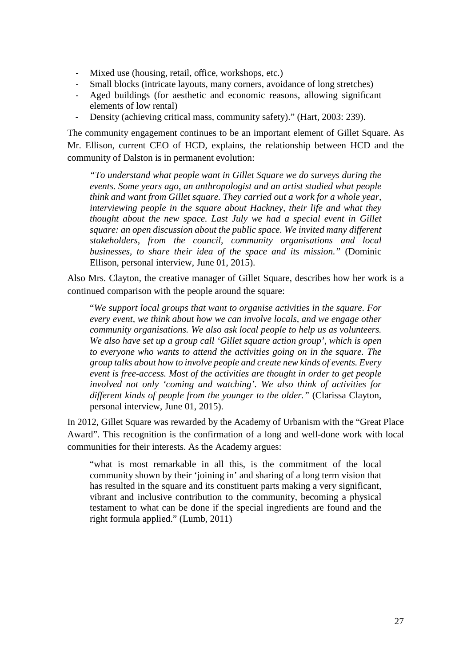- Mixed use (housing, retail, office, workshops, etc.)
- Small blocks (intricate layouts, many corners, avoidance of long stretches)
- Aged buildings (for aesthetic and economic reasons, allowing significant elements of low rental)
- Density (achieving critical mass, community safety)." (Hart, 2003: 239).

The community engagement continues to be an important element of Gillet Square. As Mr. Ellison, current CEO of HCD, explains, the relationship between HCD and the community of Dalston is in permanent evolution:

*"To understand what people want in Gillet Square we do surveys during the events. Some years ago, an anthropologist and an artist studied what people think and want from Gillet square. They carried out a work for a whole year, interviewing people in the square about Hackney, their life and what they thought about the new space. Last July we had a special event in Gillet square: an open discussion about the public space. We invited many different stakeholders, from the council, community organisations and local businesses, to share their idea of the space and its mission."* (Dominic Ellison, personal interview, June 01, 2015).

Also Mrs. Clayton, the creative manager of Gillet Square, describes how her work is a continued comparison with the people around the square:

"*We support local groups that want to organise activities in the square. For every event, we think about how we can involve locals, and we engage other community organisations. We also ask local people to help us as volunteers. We also have set up a group call 'Gillet square action group', which is open to everyone who wants to attend the activities going on in the square. The group talks about how to involve people and create new kinds of events. Every event is free-access. Most of the activities are thought in order to get people involved not only 'coming and watching'. We also think of activities for different kinds of people from the younger to the older."* (Clarissa Clayton, personal interview, June 01, 2015).

In 2012, Gillet Square was rewarded by the Academy of Urbanism with the "Great Place Award". This recognition is the confirmation of a long and well-done work with local communities for their interests. As the Academy argues:

"what is most remarkable in all this, is the commitment of the local community shown by their 'joining in' and sharing of a long term vision that has resulted in the square and its constituent parts making a very significant, vibrant and inclusive contribution to the community, becoming a physical testament to what can be done if the special ingredients are found and the right formula applied." (Lumb, 2011)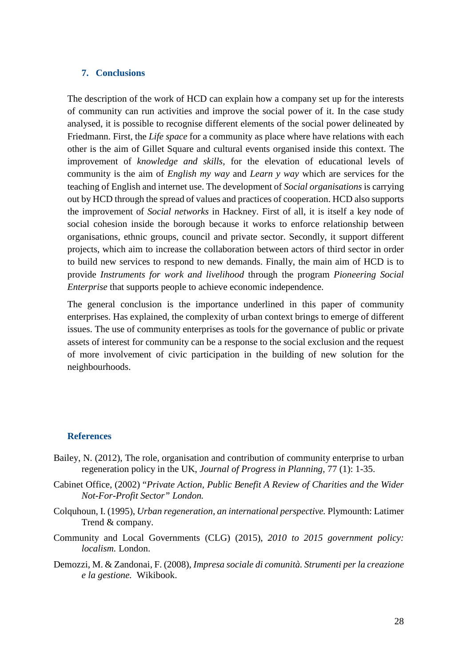#### **7. Conclusions**

The description of the work of HCD can explain how a company set up for the interests of community can run activities and improve the social power of it. In the case study analysed, it is possible to recognise different elements of the social power delineated by Friedmann. First, the *Life space* for a community as place where have relations with each other is the aim of Gillet Square and cultural events organised inside this context. The improvement of *knowledge and skills,* for the elevation of educational levels of community is the aim of *English my way* and *Learn y way* which are services for the teaching of English and internet use. The development of *Social organisations* is carrying out by HCD through the spread of values and practices of cooperation. HCD also supports the improvement of *Social networks* in Hackney. First of all, it is itself a key node of social cohesion inside the borough because it works to enforce relationship between organisations, ethnic groups, council and private sector. Secondly, it support different projects, which aim to increase the collaboration between actors of third sector in order to build new services to respond to new demands. Finally, the main aim of HCD is to provide *Instruments for work and livelihood* through the program *Pioneering Social Enterprise* that supports people to achieve economic independence.

The general conclusion is the importance underlined in this paper of community enterprises. Has explained, the complexity of urban context brings to emerge of different issues. The use of community enterprises as tools for the governance of public or private assets of interest for community can be a response to the social exclusion and the request of more involvement of civic participation in the building of new solution for the neighbourhoods.

#### **References**

- Bailey, N. (2012), The role, organisation and contribution of community enterprise to urban regeneration policy in the UK, *Journal of Progress in Planning*, 77 (1): 1-35.
- Cabinet Office, (2002) "*Private Action, Public Benefit A Review of Charities and the Wider Not-For-Profit Sector" London.*
- Colquhoun, I. (1995), *Urban regeneration, an international perspective.* Plymounth: Latimer Trend & company.
- Community and Local Governments (CLG) (2015), *2010 to 2015 government policy: localism.* London.
- Demozzi, M. & Zandonai, F. (2008), *Impresa sociale di comunità. Strumenti per la creazione e la gestione.* Wikibook.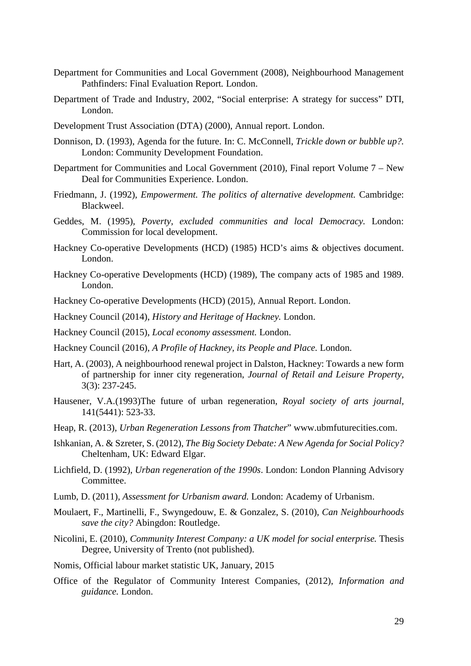- Department for Communities and Local Government (2008), Neighbourhood Management Pathfinders: Final Evaluation Report*.* London.
- Department of Trade and Industry, 2002, "Social enterprise: A strategy for success" DTI, London.
- Development Trust Association (DTA) (2000), Annual report. London.
- Donnison, D. (1993), Agenda for the future. In: C. McConnell, *Trickle down or bubble up?.*  London: Community Development Foundation.
- Department for Communities and Local Government (2010), Final report Volume 7 New Deal for Communities Experience. London.
- Friedmann, J. (1992), *Empowerment. The politics of alternative development.* Cambridge: Blackweel.
- Geddes, M. (1995), *Poverty, excluded communities and local Democracy.* London: Commission for local development.
- Hackney Co-operative Developments (HCD) (1985) HCD's aims & objectives document. London.
- Hackney Co-operative Developments (HCD) (1989), The company acts of 1985 and 1989. London.
- Hackney Co-operative Developments (HCD) (2015), Annual Report. London.
- Hackney Council (2014), *History and Heritage of Hackney.* London.
- Hackney Council (2015), *Local economy assessment.* London.
- Hackney Council (2016), *A Profile of Hackney, its People and Place.* London.
- Hart, A. (2003), A neighbourhood renewal project in Dalston, Hackney: Towards a new form of partnership for inner city regeneration, *Journal of Retail and Leisure Property*, 3(3): 237-245.
- Hausener, V.A.(1993)The future of urban regeneration, *Royal society of arts journal,* 141(5441): 523-33.
- Heap, R. (2013), *Urban Regeneration Lessons from Thatcher*" www.ubmfuturecities.com.
- Ishkanian, A. & Szreter, S. (2012), *The Big Society Debate: A New Agenda for Social Policy?* Cheltenham, UK: Edward Elgar.
- Lichfield, D. (1992), *Urban regeneration of the 1990s*. London: London Planning Advisory Committee.
- Lumb, D. (2011), *Assessment for Urbanism award.* London: Academy of Urbanism.
- Moulaert, F., Martinelli, F., Swyngedouw, E. & Gonzalez, S. (2010), *Can Neighbourhoods save the city?* Abingdon: Routledge.
- Nicolini, E. (2010), *Community Interest Company: a UK model for social enterprise.* Thesis Degree, University of Trento (not published).
- Nomis, Official labour market statistic UK, January, 2015
- Office of the Regulator of Community Interest Companies, (2012), *Information and guidance.* London.